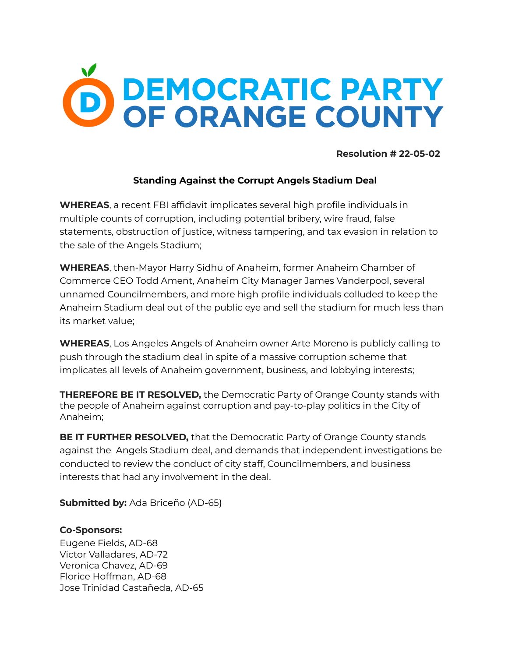## **SPEMOCRATIC PARTY<br>OF ORANGE COUNTY**

**Resolution # 22-05-02**

## **Standing Against the Corrupt Angels Stadium Deal**

**WHEREAS**, a recent FBI affidavit implicates several high profile individuals in multiple counts of corruption, including potential bribery, wire fraud, false statements, obstruction of justice, witness tampering, and tax evasion in relation to the sale of the Angels Stadium;

**WHEREAS**, then-Mayor Harry Sidhu of Anaheim, former Anaheim Chamber of Commerce CEO Todd Ament, Anaheim City Manager James Vanderpool, several unnamed Councilmembers, and more high profile individuals colluded to keep the Anaheim Stadium deal out of the public eye and sell the stadium for much less than its market value;

**WHEREAS**, Los Angeles Angels of Anaheim owner Arte Moreno is publicly calling to push through the stadium deal in spite of a massive corruption scheme that implicates all levels of Anaheim government, business, and lobbying interests;

**THEREFORE BE IT RESOLVED,** the Democratic Party of Orange County stands with the people of Anaheim against corruption and pay-to-play politics in the City of Anaheim;

**BE IT FURTHER RESOLVED,** that the Democratic Party of Orange County stands against the Angels Stadium deal, and demands that independent investigations be conducted to review the conduct of city staff, Councilmembers, and business interests that had any involvement in the deal.

**Submitted by:** Ada Briceño (AD-65)

## **Co-Sponsors:**

Eugene Fields, AD-68 Victor Valladares, AD-72 Veronica Chavez, AD-69 Florice Hoffman, AD-68 Jose Trinidad Castañeda, AD-65